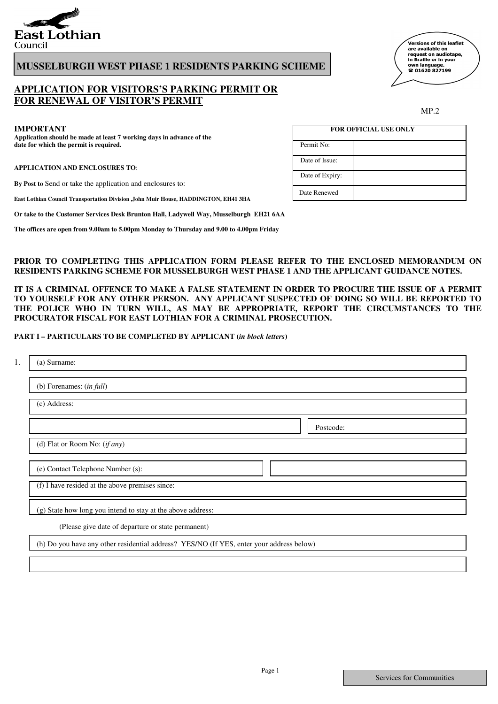

# **MUSSELBURGH WEST PHASE 1 RESIDENTS PARKING SCHEME**

# **APPLICATION FOR VISITORS'S PARKING PERMIT OR FOR RENEWAL OF VISITOR'S PERMIT**

**Application should be made at least 7 working days in advance of the date for which the permit is required.** Permit No:

**APPLICATION AND ENCLOSURES TO**:

**By Post to** Send or take the application and enclosures to:

**East Lothian Council Transportation Division ,John Muir House, HADDINGTON, EH41 3HA**

**Or take to the Customer Services Desk Brunton Hall, Ladywell Way, Musselburgh EH21 6AA**

**The offices are open from 9.00am to 5.00pm Monday to Thursday and 9.00 to 4.00pm Friday**

## **PRIOR TO COMPLETING THIS APPLICATION FORM PLEASE REFER TO THE ENCLOSED MEMORANDUM ON RESIDENTS PARKING SCHEME FOR MUSSELBURGH WEST PHASE 1 AND THE APPLICANT GUIDANCE NOTES.**

Date Renewed

Date of Expiry:

**IT IS A CRIMINAL OFFENCE TO MAKE A FALSE STATEMENT IN ORDER TO PROCURE THE ISSUE OF A PERMIT TO YOURSELF FOR ANY OTHER PERSON. ANY APPLICANT SUSPECTED OF DOING SO WILL BE REPORTED TO THE POLICE WHO IN TURN WILL, AS MAY BE APPROPRIATE, REPORT THE CIRCUMSTANCES TO THE PROCURATOR FISCAL FOR EAST LOTHIAN FOR A CRIMINAL PROSECUTION.**

## **PART I – PARTICULARS TO BE COMPLETED BY APPLICANT (***in block letters***)**

| (a) Surname:                                                                             |  |  |  |  |  |
|------------------------------------------------------------------------------------------|--|--|--|--|--|
| (b) Forenames: $(in full)$                                                               |  |  |  |  |  |
| (c) Address:                                                                             |  |  |  |  |  |
| Postcode:                                                                                |  |  |  |  |  |
| (d) Flat or Room No: $(if any)$                                                          |  |  |  |  |  |
| (e) Contact Telephone Number (s):                                                        |  |  |  |  |  |
| (f) I have resided at the above premises since:                                          |  |  |  |  |  |
| (g) State how long you intend to stay at the above address:                              |  |  |  |  |  |
| (Please give date of departure or state permanent)                                       |  |  |  |  |  |
| (h) Do you have any other residential address? YES/NO (If YES, enter your address below) |  |  |  |  |  |
|                                                                                          |  |  |  |  |  |

MP.2 **IMPORTANT FOR OFFICIAL USE ONLY** Date of Issue:

、<br>Versions of this leaflet are available on<br>request on audiotape, in Braille or in your own language.<br>☎ 01620 827199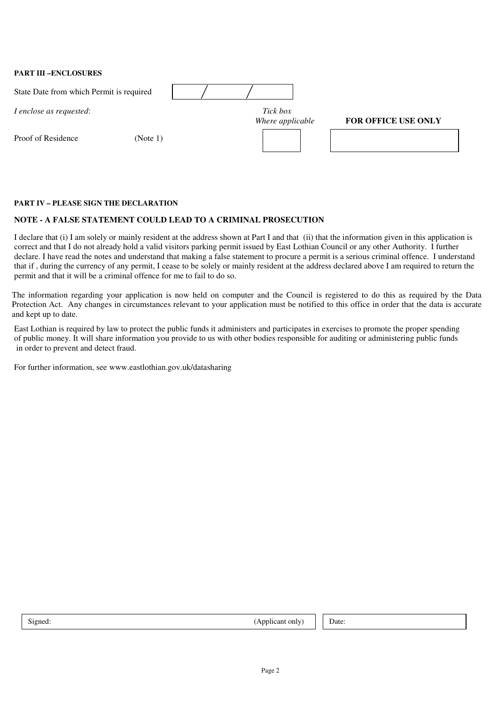**PART III –ENCLOSURES** 

| State Date from which Permit is required |          |                              |                            |
|------------------------------------------|----------|------------------------------|----------------------------|
| I enclose as requested:                  |          | Tick box<br>Where applicable | <b>FOR OFFICE USE ONLY</b> |
| Proof of Residence                       | (Note 1) |                              |                            |
|                                          |          |                              |                            |

## **PART IV – PLEASE SIGN THE DECLARATION**

## **NOTE - A FALSE STATEMENT COULD LEAD TO A CRIMINAL PROSECUTION**

I declare that (i) I am solely or mainly resident at the address shown at Part I and that (ii) that the information given in this application is correct and that I do not already hold a valid visitors parking permit issued by East Lothian Council or any other Authority. I further declare. I have read the notes and understand that making a false statement to procure a permit is a serious criminal offence. I understand that if , during the currency of any permit, I cease to be solely or mainly resident at the address declared above I am required to return the permit and that it will be a criminal offence for me to fail to do so.

The information regarding your application is now held on computer and the Council is registered to do this as required by the Data Protection Act. Any changes in circumstances relevant to your application must be notified to this office in order that the data is accurate and kept up to date.

East Lothian is required by law to protect the public funds it administers and participates in exercises to promote the proper spending of public money. It will share information you provide to us with other bodies responsible for auditing or administering public funds in order to prevent and detect fraud.

For further information, see www.eastlothian.gov.uk/datasharing

| Signed: | (Applicant only)   Date: |  |  |
|---------|--------------------------|--|--|
|---------|--------------------------|--|--|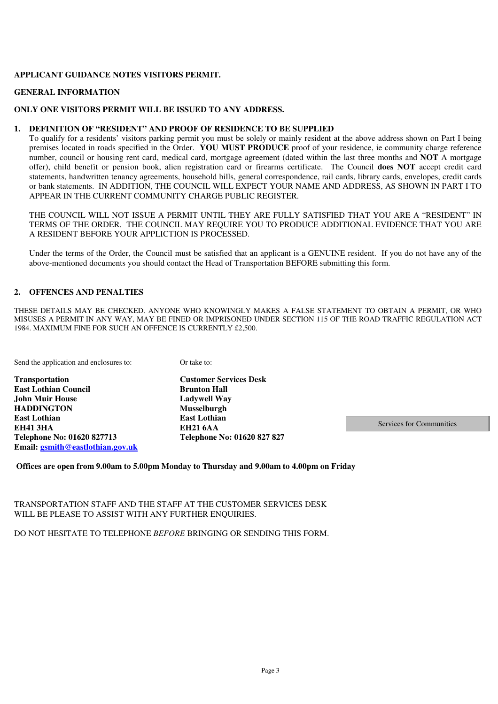## **APPLICANT GUIDANCE NOTES VISITORS PERMIT.**

## **GENERAL INFORMATION**

## **ONLY ONE VISITORS PERMIT WILL BE ISSUED TO ANY ADDRESS.**

#### **1. DEFINITION OF "RESIDENT" AND PROOF OF RESIDENCE TO BE SUPPLIED**

To qualify for a residents' visitors parking permit you must be solely or mainly resident at the above address shown on Part I being premises located in roads specified in the Order. **YOU MUST PRODUCE** proof of your residence, ie community charge reference number, council or housing rent card, medical card, mortgage agreement (dated within the last three months and **NOT** A mortgage offer), child benefit or pension book, alien registration card or firearms certificate. The Council **does NOT** accept credit card statements, handwritten tenancy agreements, household bills, general correspondence, rail cards, library cards, envelopes, credit cards or bank statements. IN ADDITION, THE COUNCIL WILL EXPECT YOUR NAME AND ADDRESS, AS SHOWN IN PART I TO APPEAR IN THE CURRENT COMMUNITY CHARGE PUBLIC REGISTER.

THE COUNCIL WILL NOT ISSUE A PERMIT UNTIL THEY ARE FULLY SATISFIED THAT YOU ARE A "RESIDENT" IN TERMS OF THE ORDER. THE COUNCIL MAY REQUIRE YOU TO PRODUCE ADDITIONAL EVIDENCE THAT YOU ARE A RESIDENT BEFORE YOUR APPLICTION IS PROCESSED.

Under the terms of the Order, the Council must be satisfied that an applicant is a GENUINE resident. If you do not have any of the above-mentioned documents you should contact the Head of Transportation BEFORE submitting this form.

## **2. OFFENCES AND PENALTIES**

THESE DETAILS MAY BE CHECKED. ANYONE WHO KNOWINGLY MAKES A FALSE STATEMENT TO OBTAIN A PERMIT, OR WHO MISUSES A PERMIT IN ANY WAY, MAY BE FINED OR IMPRISONED UNDER SECTION 115 OF THE ROAD TRAFFIC REGULATION ACT 1984. MAXIMUM FINE FOR SUCH AN OFFENCE IS CURRENTLY £2,500.

Send the application and enclosures to: 0r take to:

**Transportation Customer Services Desk East Lothian Council Brunton Hall John Muir House Ladywell Way HADDINGTON Musselburgh EH41 3HA EH21 6AA Telephone No: 01620 827713 Telephone No: 01620 827 827 Email: gsmith@eastlothian.gov.uk**

**East Lothian** 

Services for Communities

## **Offices are open from 9.00am to 5.00pm Monday to Thursday and 9.00am to 4.00pm on Friday**

TRANSPORTATION STAFF AND THE STAFF AT THE CUSTOMER SERVICES DESK WILL BE PLEASE TO ASSIST WITH ANY FURTHER ENOUIRIES.

DO NOT HESITATE TO TELEPHONE *BEFORE* BRINGING OR SENDING THIS FORM.